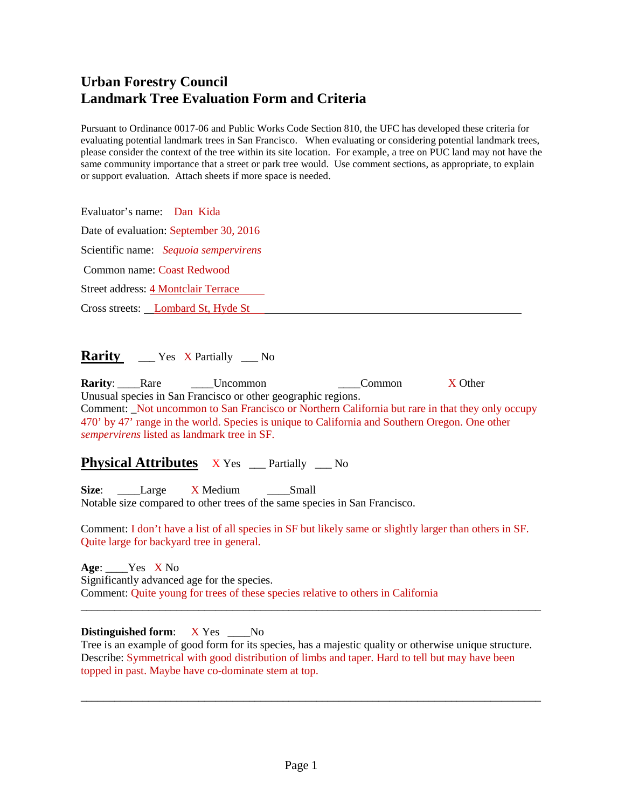# **Urban Forestry Council Landmark Tree Evaluation Form and Criteria**

Pursuant to Ordinance 0017-06 and Public Works Code Section 810, the UFC has developed these criteria for evaluating potential landmark trees in San Francisco. When evaluating or considering potential landmark trees, please consider the context of the tree within its site location. For example, a tree on PUC land may not have the same community importance that a street or park tree would. Use comment sections, as appropriate, to explain or support evaluation. Attach sheets if more space is needed.

Evaluator's name: Dan Kida

Date of evaluation: September 30, 2016

Scientific name: *Sequoia sempervirens*

Common name: Coast Redwood

Street address: 4 Montclair Terrace

Cross streets: Lombard St, Hyde St

**Rarity** \_\_\_ Yes X Partially \_\_ No

**Rarity**: Rare **Lincommon Lincommon Common X Other** Unusual species in San Francisco or other geographic regions. Comment: \_Not uncommon to San Francisco or Northern California but rare in that they only occupy 470' by 47' range in the world. Species is unique to California and Southern Oregon. One other *sempervirens* listed as landmark tree in SF.

## **Physical Attributes** X Yes <u>exercised</u> No

Size: Large X Medium \_\_\_\_Small Notable size compared to other trees of the same species in San Francisco.

Comment: I don't have a list of all species in SF but likely same or slightly larger than others in SF. Quite large for backyard tree in general.

**Age**: \_\_\_\_Yes X No Significantly advanced age for the species. Comment: Quite young for trees of these species relative to others in California

### **Distinguished form**: X Yes \_\_\_\_No

Tree is an example of good form for its species, has a majestic quality or otherwise unique structure. Describe: Symmetrical with good distribution of limbs and taper. Hard to tell but may have been topped in past. Maybe have co-dominate stem at top.

\_\_\_\_\_\_\_\_\_\_\_\_\_\_\_\_\_\_\_\_\_\_\_\_\_\_\_\_\_\_\_\_\_\_\_\_\_\_\_\_\_\_\_\_\_\_\_\_\_\_\_\_\_\_\_\_\_\_\_\_\_\_\_\_\_\_\_\_\_\_\_\_\_\_\_\_\_\_\_\_\_\_

\_\_\_\_\_\_\_\_\_\_\_\_\_\_\_\_\_\_\_\_\_\_\_\_\_\_\_\_\_\_\_\_\_\_\_\_\_\_\_\_\_\_\_\_\_\_\_\_\_\_\_\_\_\_\_\_\_\_\_\_\_\_\_\_\_\_\_\_\_\_\_\_\_\_\_\_\_\_\_\_\_\_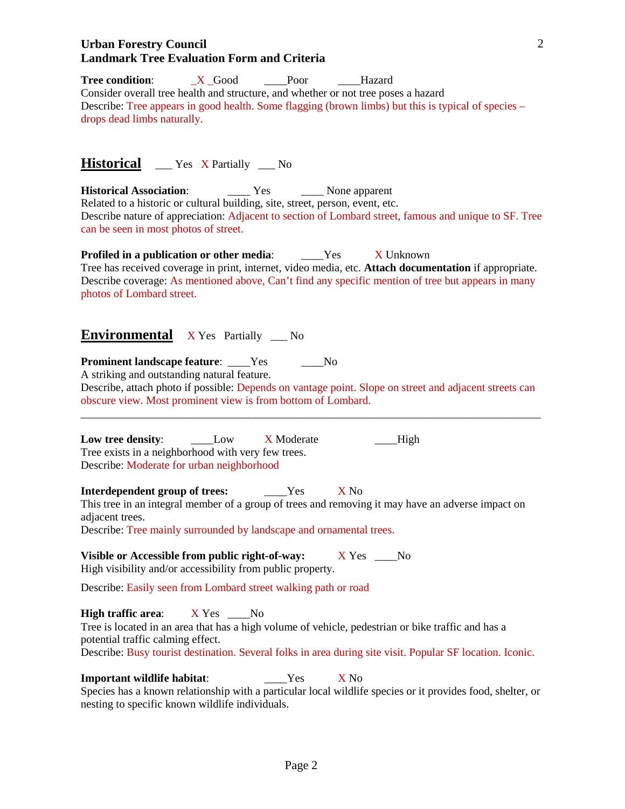#### **Urban Forestry Council Landmark Tree Evaluation Form and Criteria**

**Tree condition:** \_X \_Good \_\_\_\_Poor \_\_\_Hazard Consider overall tree health and structure, and whether or not tree poses a hazard Describe: Tree appears in good health. Some flagging (brown limbs) but this is typical of species – drops dead limbs naturally.

**Historical** Yes X Partially No

**Historical Association**: \_\_\_\_ Yes \_\_\_\_ None apparent Related to a historic or cultural building, site, street, person, event, etc. Describe nature of appreciation: Adjacent to section of Lombard street, famous and unique to SF. Tree can be seen in most photos of street.

**Profiled in a publication or other media:** \_\_\_\_Yes X Unknown Tree has received coverage in print, internet, video media, etc. **Attach documentation** if appropriate. Describe coverage: As mentioned above, Can't find any specific mention of tree but appears in many photos of Lombard street.

## **Environmental** X Yes Partially \_\_\_ No

**Prominent landscape feature:** Yes No

A striking and outstanding natural feature.

Describe, attach photo if possible: Depends on vantage point. Slope on street and adjacent streets can obscure view. Most prominent view is from bottom of Lombard. \_\_\_\_\_\_\_\_\_\_\_\_\_\_\_\_\_\_\_\_\_\_\_\_\_\_\_\_\_\_\_\_\_\_\_\_\_\_\_\_\_\_\_\_\_\_\_\_\_\_\_\_\_\_\_\_\_\_\_\_\_\_\_\_\_\_\_\_\_\_\_\_\_\_\_\_\_\_\_\_\_\_

**Low tree density**: \_\_\_\_Low X Moderate \_\_\_\_High Tree exists in a neighborhood with very few trees. Describe: Moderate for urban neighborhood

**Interdependent group of trees:** \_\_\_\_Yes X No

This tree in an integral member of a group of trees and removing it may have an adverse impact on adjacent trees.

Describe: Tree mainly surrounded by landscape and ornamental trees.

**Visible or Accessible from public right-of-way:** X Yes \_\_\_No High visibility and/or accessibility from public property.

Describe: Easily seen from Lombard street walking path or road

**High traffic area:** X Yes No Tree is located in an area that has a high volume of vehicle, pedestrian or bike traffic and has a potential traffic calming effect. Describe: Busy tourist destination. Several folks in area during site visit. Popular SF location. Iconic.

**Important wildlife habitat:**  $Y$ es X No

Species has a known relationship with a particular local wildlife species or it provides food, shelter, or nesting to specific known wildlife individuals.